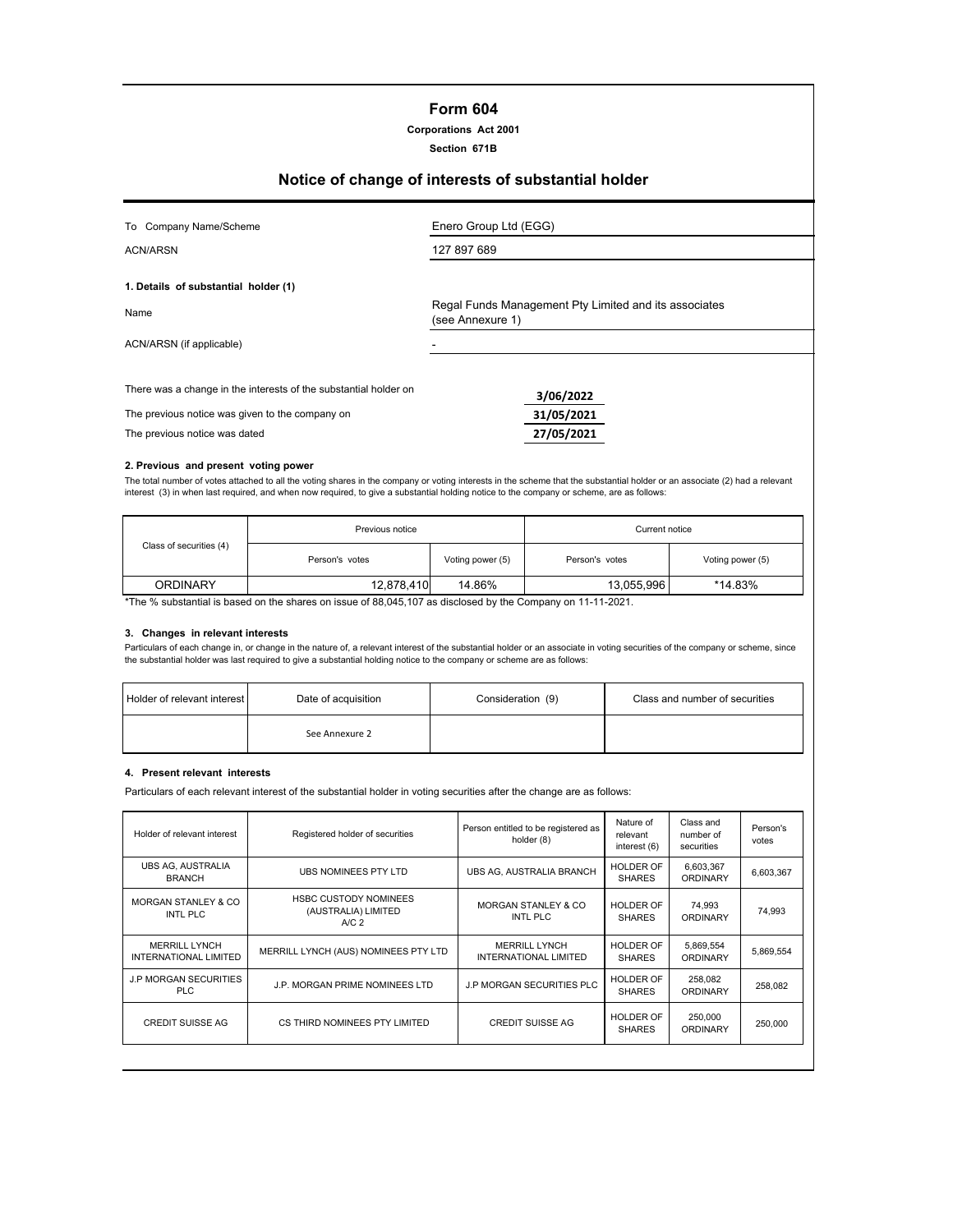# **Form 604**

**Corporations Act 2001 Section 671B**

# **Notice of change of interests of substantial holder**

| To Company Name/Scheme                                                                                                                               | Enero Group Ltd (EGG)                                                     |
|------------------------------------------------------------------------------------------------------------------------------------------------------|---------------------------------------------------------------------------|
| <b>ACN/ARSN</b>                                                                                                                                      | 127 897 689                                                               |
| 1. Details of substantial holder (1)                                                                                                                 |                                                                           |
| Name                                                                                                                                                 | Regal Funds Management Pty Limited and its associates<br>(see Annexure 1) |
| ACN/ARSN (if applicable)                                                                                                                             |                                                                           |
| There was a change in the interests of the substantial holder on<br>The previous notice was given to the company on<br>The previous notice was dated | 3/06/2022<br>31/05/2021<br>27/05/2021                                     |

#### **2. Previous and present voting power**

The total number of votes attached to all the voting shares in the company or voting interests in the scheme that the substantial holder or an associate (2) had a relevant interest (3) in when last required, and when now required, to give a substantial holding notice to the company or scheme, are as follows:

|                         | Previous notice | Current notice   |                       |                  |
|-------------------------|-----------------|------------------|-----------------------|------------------|
| Class of securities (4) | Person's votes  | Voting power (5) | Person's votes        | Voting power (5) |
| <b>ORDINARY</b>         | 12.878.410      | 14.86%           | *14.83%<br>13,055,996 |                  |

\*The % substantial is based on the shares on issue of 88,045,107 as disclosed by the Company on 11-11-2021.

#### **3. Changes in relevant interests**

Particulars of each change in, or change in the nature of, a relevant interest of the substantial holder or an associate in voting securities of the company or scheme, since the substantial holder was last required to give a substantial holding notice to the company or scheme are as follows:

| <b>Holder of relevant interest</b> | Date of acquisition | Consideration (9) | Class and number of securities |
|------------------------------------|---------------------|-------------------|--------------------------------|
|                                    | See Annexure 2      |                   |                                |

#### **4. Present relevant interests**

Particulars of each relevant interest of the substantial holder in voting securities after the change are as follows:

| Holder of relevant interest                          | Registered holder of securities                                         | Person entitled to be registered as<br>holder (8)    | Nature of<br>relevant<br>interest (6) | Class and<br>number of<br>securities | Person's<br>votes |
|------------------------------------------------------|-------------------------------------------------------------------------|------------------------------------------------------|---------------------------------------|--------------------------------------|-------------------|
| <b>UBS AG, AUSTRALIA</b><br><b>BRANCH</b>            | UBS NOMINEES PTY LTD                                                    | UBS AG. AUSTRALIA BRANCH                             | <b>HOLDER OF</b><br><b>SHARES</b>     | 6,603,367<br><b>ORDINARY</b>         | 6,603,367         |
| <b>MORGAN STANLEY &amp; CO</b><br>INTL PLC           | <b>HSBC CUSTODY NOMINEES</b><br>(AUSTRALIA) LIMITED<br>A/C <sub>2</sub> | MORGAN STANLEY & CO<br>INTL PLC                      | <b>HOLDER OF</b><br><b>SHARES</b>     | 74,993<br><b>ORDINARY</b>            | 74,993            |
| <b>MERRILL LYNCH</b><br><b>INTERNATIONAL LIMITED</b> | MERRILL LYNCH (AUS) NOMINEES PTY LTD                                    | <b>MERRILL LYNCH</b><br><b>INTERNATIONAL LIMITED</b> | <b>HOLDER OF</b><br><b>SHARES</b>     | 5,869,554<br><b>ORDINARY</b>         | 5,869,554         |
| <b>J.P MORGAN SECURITIES</b><br>PLC                  | J.P. MORGAN PRIME NOMINEES LTD                                          | <b>J.P MORGAN SECURITIES PLC</b>                     | <b>HOLDER OF</b><br><b>SHARES</b>     | 258,082<br><b>ORDINARY</b>           | 258,082           |
| <b>CREDIT SUISSE AG</b>                              | CS THIRD NOMINEES PTY LIMITED                                           | <b>CREDIT SUISSE AG</b>                              | HOLDER OF<br><b>SHARES</b>            | 250,000<br><b>ORDINARY</b>           | 250,000           |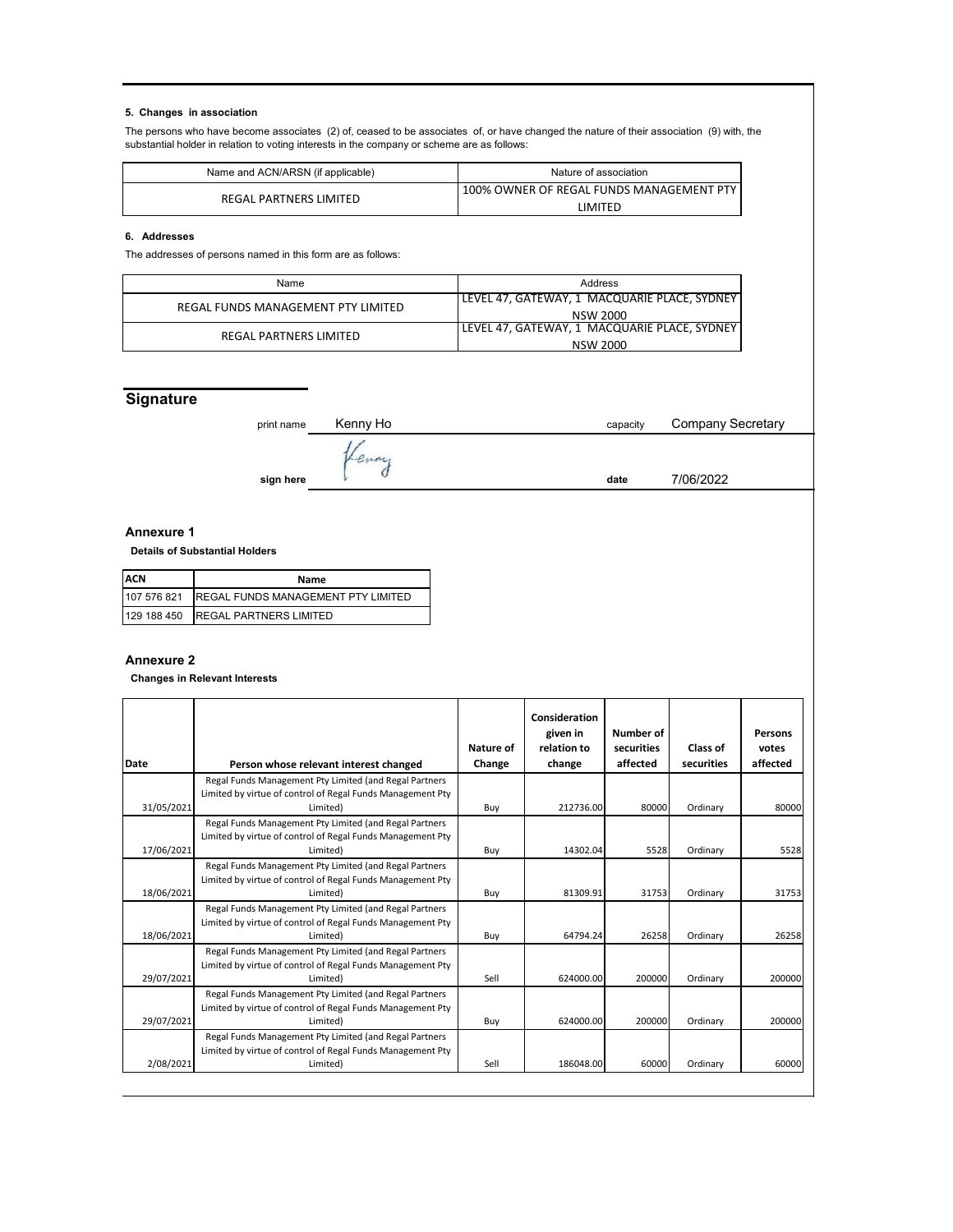#### **5. Changes in association**

The persons who have become associates (2) of, ceased to be associates of, or have changed the nature of their association (9) with, the substantial holder in relation to voting interests in the company or scheme are as follows:

| Name and ACN/ARSN (if applicable) | Nature of association                    |
|-----------------------------------|------------------------------------------|
| REGAL PARTNERS LIMITED            | 100% OWNER OF REGAL FUNDS MANAGEMENT PTY |
|                                   | I IMITFD                                 |

#### **6. Addresses**

The addresses of persons named in this form are as follows:

| Name                               | Address                                      |
|------------------------------------|----------------------------------------------|
| REGAL FUNDS MANAGEMENT PTY LIMITED | LEVEL 47, GATEWAY, 1 MACQUARIE PLACE, SYDNEY |
|                                    | NSW 2000                                     |
| REGAL PARTNERS LIMITED             | LEVEL 47, GATEWAY, 1 MACQUARIE PLACE, SYDNEY |
|                                    | <b>NSW 2000</b>                              |

# **Signature**

| print name | Kenny Ho | capacity | <b>Company Secretary</b> |  |  |
|------------|----------|----------|--------------------------|--|--|
|            |          |          |                          |  |  |
| sign here  |          | date     | 7/06/2022                |  |  |

#### **Annexure 1**

 **Details of Substantial Holders**

| <b>ACN</b>  | Name                                      |
|-------------|-------------------------------------------|
| 107 576 821 | <b>REGAL FUNDS MANAGEMENT PTY LIMITED</b> |
|             | 129 188 450 REGAL PARTNERS LIMITED        |

### **Annexure 2**

 **Changes in Relevant Interests**

|            |                                                                                                                                  |                     | Consideration<br>given in | Number of              |                        | <b>Persons</b>    |
|------------|----------------------------------------------------------------------------------------------------------------------------------|---------------------|---------------------------|------------------------|------------------------|-------------------|
| Date       | Person whose relevant interest changed                                                                                           | Nature of<br>Change | relation to<br>change     | securities<br>affected | Class of<br>securities | votes<br>affected |
|            | Regal Funds Management Pty Limited (and Regal Partners<br>Limited by virtue of control of Regal Funds Management Pty             |                     |                           |                        |                        |                   |
| 31/05/2021 | Limited)                                                                                                                         | Buy                 | 212736.00                 | 80000                  | Ordinary               | 80000             |
| 17/06/2021 | Regal Funds Management Pty Limited (and Regal Partners<br>Limited by virtue of control of Regal Funds Management Pty<br>Limited) | Buy                 | 14302.04                  | 5528                   | Ordinary               | 5528              |
| 18/06/2021 | Regal Funds Management Pty Limited (and Regal Partners<br>Limited by virtue of control of Regal Funds Management Pty<br>Limited) | Buy                 | 81309.91                  | 31753                  | Ordinary               | 31753             |
| 18/06/2021 | Regal Funds Management Pty Limited (and Regal Partners<br>Limited by virtue of control of Regal Funds Management Pty<br>Limited) | Buy                 | 64794.24                  | 26258                  | Ordinary               | 26258             |
| 29/07/2021 | Regal Funds Management Pty Limited (and Regal Partners<br>Limited by virtue of control of Regal Funds Management Pty<br>Limited) | Sell                | 624000.00                 | 200000                 | Ordinary               | 200000            |
| 29/07/2021 | Regal Funds Management Pty Limited (and Regal Partners<br>Limited by virtue of control of Regal Funds Management Pty<br>Limited) | Buy                 | 624000.00                 | 200000                 | Ordinary               | 200000            |
| 2/08/2021  | Regal Funds Management Pty Limited (and Regal Partners<br>Limited by virtue of control of Regal Funds Management Pty<br>Limited) | Sell                | 186048.00                 | 60000                  | Ordinary               | 60000             |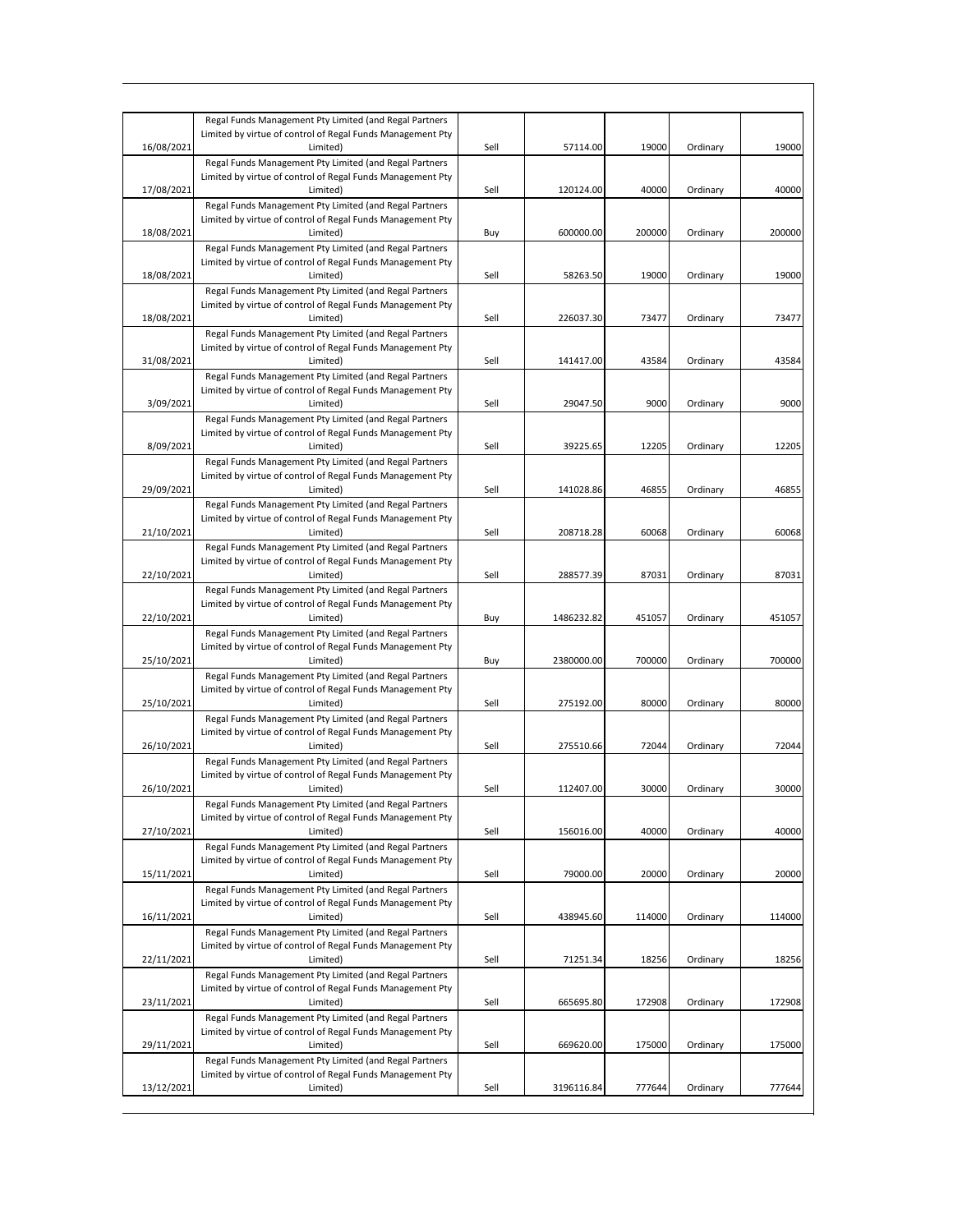|            | Regal Funds Management Pty Limited (and Regal Partners                                                               |      |            |        |          |        |
|------------|----------------------------------------------------------------------------------------------------------------------|------|------------|--------|----------|--------|
|            | Limited by virtue of control of Regal Funds Management Pty                                                           |      |            |        |          |        |
| 16/08/2021 | Limited)                                                                                                             | Sell | 57114.00   | 19000  | Ordinary | 19000  |
|            | Regal Funds Management Pty Limited (and Regal Partners                                                               |      |            |        |          |        |
|            | Limited by virtue of control of Regal Funds Management Pty                                                           |      |            |        |          |        |
| 17/08/2021 | Limited)                                                                                                             | Sell | 120124.00  | 40000  | Ordinary | 40000  |
|            | Regal Funds Management Pty Limited (and Regal Partners                                                               |      |            |        |          |        |
|            | Limited by virtue of control of Regal Funds Management Pty                                                           |      |            | 200000 |          | 200000 |
| 18/08/2021 | Limited)                                                                                                             | Buy  | 600000.00  |        | Ordinary |        |
|            | Regal Funds Management Pty Limited (and Regal Partners<br>Limited by virtue of control of Regal Funds Management Pty |      |            |        |          |        |
| 18/08/2021 | Limited)                                                                                                             | Sell | 58263.50   | 19000  | Ordinary | 19000  |
|            | Regal Funds Management Pty Limited (and Regal Partners                                                               |      |            |        |          |        |
|            | Limited by virtue of control of Regal Funds Management Pty                                                           |      |            |        |          |        |
| 18/08/2021 | Limited)                                                                                                             | Sell | 226037.30  | 73477  | Ordinary | 73477  |
|            | Regal Funds Management Pty Limited (and Regal Partners                                                               |      |            |        |          |        |
|            | Limited by virtue of control of Regal Funds Management Pty                                                           |      |            |        |          |        |
| 31/08/2021 | Limited)                                                                                                             | Sell | 141417.00  | 43584  | Ordinary | 43584  |
|            | Regal Funds Management Pty Limited (and Regal Partners                                                               |      |            |        |          |        |
|            | Limited by virtue of control of Regal Funds Management Pty                                                           |      |            |        |          |        |
| 3/09/2021  | Limited)                                                                                                             | Sell | 29047.50   | 9000   | Ordinary | 9000   |
|            | Regal Funds Management Pty Limited (and Regal Partners                                                               |      |            |        |          |        |
|            | Limited by virtue of control of Regal Funds Management Pty                                                           |      |            |        |          |        |
| 8/09/2021  | Limited)                                                                                                             | Sell | 39225.65   | 12205  | Ordinary | 12205  |
|            | Regal Funds Management Pty Limited (and Regal Partners                                                               |      |            |        |          |        |
|            | Limited by virtue of control of Regal Funds Management Pty                                                           |      |            |        |          |        |
| 29/09/2021 | Limited)                                                                                                             | Sell | 141028.86  | 46855  | Ordinary | 46855  |
|            | Regal Funds Management Pty Limited (and Regal Partners                                                               |      |            |        |          |        |
|            | Limited by virtue of control of Regal Funds Management Pty                                                           |      |            |        |          |        |
| 21/10/2021 | Limited)                                                                                                             | Sell | 208718.28  | 60068  | Ordinary | 60068  |
|            | Regal Funds Management Pty Limited (and Regal Partners                                                               |      |            |        |          |        |
|            | Limited by virtue of control of Regal Funds Management Pty                                                           |      |            |        |          |        |
| 22/10/2021 | Limited)                                                                                                             | Sell | 288577.39  | 87031  | Ordinary | 87031  |
|            | Regal Funds Management Pty Limited (and Regal Partners                                                               |      |            |        |          |        |
|            | Limited by virtue of control of Regal Funds Management Pty                                                           |      |            |        |          |        |
| 22/10/2021 | Limited)                                                                                                             | Buy  | 1486232.82 | 451057 | Ordinary | 451057 |
|            | Regal Funds Management Pty Limited (and Regal Partners                                                               |      |            |        |          |        |
|            | Limited by virtue of control of Regal Funds Management Pty                                                           |      |            |        |          |        |
| 25/10/2021 | Limited)                                                                                                             | Buy  | 2380000.00 | 700000 | Ordinary | 700000 |
|            | Regal Funds Management Pty Limited (and Regal Partners                                                               |      |            |        |          |        |
|            | Limited by virtue of control of Regal Funds Management Pty                                                           |      |            |        |          |        |
| 25/10/2021 | Limited)                                                                                                             | Sell | 275192.00  | 80000  | Ordinary | 80000  |
|            | Regal Funds Management Pty Limited (and Regal Partners                                                               |      |            |        |          |        |
|            | Limited by virtue of control of Regal Funds Management Pty                                                           |      |            |        |          |        |
| 26/10/2021 | Limited)                                                                                                             | Sell | 275510.66  | 72044  | Ordinary | 72044  |
|            | Regal Funds Management Pty Limited (and Regal Partners                                                               |      |            |        |          |        |
|            | Limited by virtue of control of Regal Funds Management Pty                                                           |      |            |        |          |        |
| 26/10/2021 | Limited)                                                                                                             | Sell | 112407.00  | 30000  | Ordinary | 30000  |
|            | Regal Funds Management Pty Limited (and Regal Partners                                                               |      |            |        |          |        |
|            | Limited by virtue of control of Regal Funds Management Pty                                                           |      |            |        |          |        |
| 27/10/2021 | Limited)                                                                                                             | Sell | 156016.00  | 40000  | Ordinary | 40000  |
|            | Regal Funds Management Pty Limited (and Regal Partners                                                               |      |            |        |          |        |
|            | Limited by virtue of control of Regal Funds Management Pty                                                           |      |            |        |          |        |
| 15/11/2021 | Limited)                                                                                                             | Sell | 79000.00   | 20000  | Ordinary | 20000  |
|            | Regal Funds Management Pty Limited (and Regal Partners                                                               |      |            |        |          |        |
|            | Limited by virtue of control of Regal Funds Management Pty                                                           |      |            |        |          |        |
| 16/11/2021 | Limited)                                                                                                             | Sell | 438945.60  | 114000 | Ordinary | 114000 |
|            | Regal Funds Management Pty Limited (and Regal Partners                                                               |      |            |        |          |        |
|            | Limited by virtue of control of Regal Funds Management Pty                                                           |      |            |        |          |        |
| 22/11/2021 | Limited)                                                                                                             | Sell | 71251.34   | 18256  | Ordinary | 18256  |
|            | Regal Funds Management Pty Limited (and Regal Partners                                                               |      |            |        |          |        |
|            | Limited by virtue of control of Regal Funds Management Pty                                                           |      |            |        |          |        |
| 23/11/2021 | Limited)                                                                                                             | Sell | 665695.80  | 172908 | Ordinary | 172908 |
|            | Regal Funds Management Pty Limited (and Regal Partners                                                               |      |            |        |          |        |
|            | Limited by virtue of control of Regal Funds Management Pty                                                           |      |            |        |          |        |
| 29/11/2021 | Limited)                                                                                                             | Sell | 669620.00  | 175000 | Ordinary | 175000 |
|            | Regal Funds Management Pty Limited (and Regal Partners                                                               |      |            |        |          |        |
|            | Limited by virtue of control of Regal Funds Management Pty                                                           |      |            |        |          |        |
| 13/12/2021 | Limited)                                                                                                             | Sell | 3196116.84 | 777644 | Ordinary | 777644 |